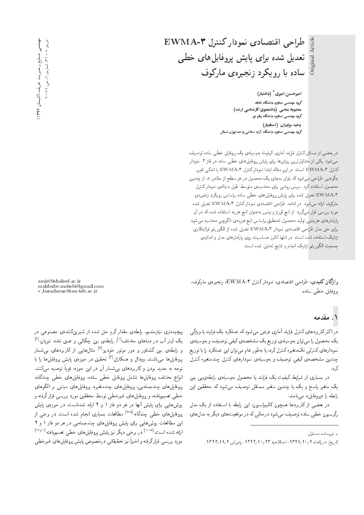Original Article Original Article

امیرحسین امیری<sup>\*</sup> (دانشیار) گروه مهندسی صنایع، دانشگاه شاهد هحبوبه محبی (دانشجوی کارشناسی ارشد) گروه مهندسی صنایع، دانشگاه پیام نور **وحيد برادران (استاديار)** ی<br>گروه مهندسی صنایع، دانشگاه آزاد اسلامی واحد تهران شمال

EWMA-T طراحى اقتصادى نمودار كنترل

تعدیل شده برای پایش پروفایل های خطی

ساده با رویکرد زنجیرهی مارکوف

در بعضی از مسائل کنترل فرایند آماری، کیفیت بهوسیلهی یک پروفایل خطی ساده توصیف میشود. یکی از متداول ترین روش ها برای پایش پروفایل های خطی ساده در فاز ۲، نمودار كنترل EWMA-۳ است. در اين مقاله ابتدا نموداركنترل EWMA-۳ با اندكى تغيير بهگونهیی طراحی میشود که بتوان بهجای یک محصول در هر سطح از مقادیر  $x$ ، از چندین محصول استفاده كرد. سپس روشى براى محاسبهى متوسط طول دنبالهى نمودار كنترل |xQ}HvR OQm}wQ T=U=Q@ xO=U |]N |=yp}=iwQB V}=B |=Q@ xOW p}OaD EWMA-3 ماركوف ارائه مى شود. در ادامه، طراحى اقتصادى نمودار كنترل EWMA-۳ تعديل شده مورد بررسی قرار میگیرد. از تابع لورنز و ونس به عنوان تابع هزینه استفاده شده که در آن پارامترهای هزینهیی تولید محصول نامنطبق براساس تابع هزینهی تاگوچی محاسبه می شود. براى حل مدل طراحى اقتصادى نمودار EWMA-۳ تعديل شده از الكوريتم فراابتكارى ژنتیک استفاده شده است. در انتها آنالیز حساسیت روی پارامترهای مدل و اندازهی جمعيت الكوريتم ژنتيك انجام و نتايج تحليل شده است.

واژگان كليدي: طراحي اقتصادي، نموداركنترل ۴ -EWMA ازنجيرهي ماركوف، يروفايل خطى ساده.

#### ۱. مقدمه

در اکثر کار بردهای کنترل فرایند آماری فرض می شود که عملکرد یک فرایند یا ویژگی یک محصول را می توان بهوسیلهی توزیع یک مشخصهی کیفی توصیف، و بهوسیلهی نمودارهای کنترلمی تکمتغیره کنترل کرد، یا بهطور عام می توان این عملکرد را با توزیع چندین مشخصهی کیفی توصیف و بهوسیلهی نمودارهای کنترل چندمتغیره کنترل ک د .

در بسیاری از شرایط کیفیت یک فرایند یا محصول بهوسیلهی رابطهی یی بین یک متغیر یاسخ و یک یا چندین متغیر مستقل توصیف می شود که محققین این رابطه را «یروفایل» می نامند.

در بعضی از کاربردها همچون کالیبراسیون، این رابطه با استفاده از یک مدل رگرسیون خطی ساده توصیف میشود درحالی که در موقعیتهای دیگر به مدلهای

amiri@shahed.ac.ir mahbube.mohebi@gmail.com v baradaran@iau-tnb.ac.ir

بیچیده تری نیازمندیم. رابطهی مقدار گرم حل شده از شیرینکنندهی مصنوعی <mark>د</mark>ر یک لیتر آب در دماهای مختلف<sup>[۱]</sup>، رابطهی بین چگالی و عمق تخته نئوپان<sup>[۲]</sup><br>برای ایران محمدا و رابطهی بین گشتاور و دور موتور خودرو<sup>[۳]</sup> مثالهایی از کاربردهای بیشمار<br>مقابله استان بین مسئل میلی از آی ت پروفایلها میباشند. وودال و همکاران<sup>۲۱</sup> تحقیق در حوزه، پایش پروفایلها را با<br>-توجه به جدید بودن و کاربردهای بی شمار آن در این حوزه، قویاً توصیه میکنند.<br>ادامه مقابل استفاده استفاده مقابل مقابل مقابل استفاده استفاده انواع مختلف پروفايل ها شامل پروفايل خطى ساده، پروفايل هاى خطى چندگانه، يروفايل هاي چندجملهيي، يروفايل هاي چندمتغيره، يروفايل هاي مبتنى بر الگوهاي خطي تعميميافته، و پروفايل هاي غيرخطي توسط محققين مورد بررسي قرار گرفته و روشهایی برای پایش آنها در هر دو فاز ۱ و ۲ ارائه شدهاست. در حوزهی پایش پروفایلهای خطی چندگانه<sup>[۷-۵]</sup> مطالعات بسیاری انجام شده است. در برخی از<br>استفادات این مطالعات روش هایی برای پایش پروفایل های چندجملهیی در هر دو فاز ۱ و ۲ [12w11] xDi=}s}taD |]N |=yp}=iwQB V}=B R}v Qo}O |NQ@ QO [108] "CU= xOW x=Q= مورد بررسی قرارگرفته و اخیراً نیز تحقیقاتی درخصوص پایش پروفایلهای غیرخطی<br>.

<sup>»</sup> نویسنده مسئول

تاريخ: دريافت 1/91/11 11 10 اصلاحيه ٢٣٣/١٠/٢٣ ا. يذيرش 1/1 (1/1 1٣٩٢.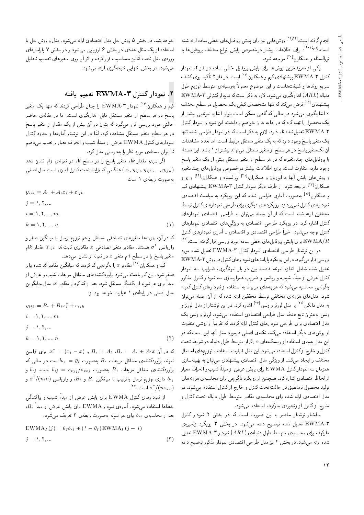انجام گرفته است.<sup>[۱۴٫۱۲]</sup> روش هایی نیز برای پایش پروفایل های خطی ساده ارائه شده است.<sup>[۱۹-۱۸]</sup> برای اطلاعات بیشتر درخصوص پایش انواع مختلف پروفایلها به نورالسناء و همکاران<sup>[۱۰]</sup> مراجعه شود.

یکی از معروف ترین روشها برای پایش پروفایل خطی ساده در فار ۲، نمودار کنترل EWMA-۳ پیشنهادی کیم و همکاران<sup>[۱۶]</sup> است. در فاز ۲ تأکید روی کشف سریع روندها و شیفتهاست و این موضوع معمولاً بهوسیلهی متوسط توزیع طول دنباله (ARL) اندازهگیری میشود. لازم به ذکر است که نمودار کنترلی EWMA-۳ پیشنهادی<sup>[۱۶]</sup> فرض میکندکه تنها مشخصهی کیفی یک محصول در سطح مختلف x اندازهگیری می شود در حالی که گاهی ممکن است بتوان اندازه نمونهیی بیشتر از يک محصول را تهيه كرد كه در ادامه بدان خواهيم پرداخت. اين نمودار، نمودار كنترل EWMA-۳ تعدیل شده نام دارد. لازم به ذکر است که در نمودار طراحی شده تنها یک متغیر پاسخ وجود داردکه به یک متغیر مستقل مرتبط است. اما تعداد مشاهدات آن تکمتغیر پاسخ در هر سطح از متغیر مستقل میتواند بیشتر از ۱ باشد. این مسئله با پروفایل های چندمتغیره، که در هر سطح از متغیر مستقل بیش از یک متغیر پاسخ وجود دارد، متفاوت است. برای اطلاعات بیشتر درخصوص پروفایل های چندمتغیره و روشهای پایش آنها به ایوزیان و همکاران،<sup>[۱۱]</sup> نورالسناء و همکاران،<sup>[۱۲]</sup> و زو و همکاران<sup>[۲۲]</sup> مراجعه شود. از طرف دیگر نمودارکنترل ۴ EWMA پیشنهادی کیم و همکاران<sup>[۱۶]</sup> بهصورت آماری طراحی شده، که این رویکرد به مباحث اقتصادی نمودارهای کنترل نمی پردازد. رویکردهای دیگری برای طراحی نمودارهای کنترل توسط محققین ارائه شده است که از آن جمله می توان به طراحی اقتصادی نمودارهای کنترل اشاره کرد. در رویکرد طراحی اقتصادی به ویژگی های اقتصادی نمودارهای کنترل توجه میشود. اخیراً طراحی اقتصادی و اقتصادی ـ آماری نمودارهای کنترل EWMA/R برای پایش پروفایل های خطی ساده مورد بررسی قرارگرفته است.<sup>[۲۴]</sup>

در این نوشتار طراحی اقتصادی نمودار کنترل EWMA-۳ تعدیل شده مورد بررسی قرار می گیرد. در این رویکرد با رامترهای نمودارهای کنترل در روش EWMA-T تعدیل شده شامل اندازه نمونه، فاصله بین دو بار نمونهگیری، ضرایب سه نمودار کنترل عرض از میداً، شیب، واریانس و ضرایب هموارسازی سه نمودار کنترل مذکور بهگونه یی محاسبه می شود که هزینههای مربوط به استفاده از نمودارهای کنترل کمینه شود. مدلهای هزینهی مختلفی توسط محققین ارائه شده که از آن جمله می توان به مدل دانکن<sup>[۲۵]</sup> یا مدل لورنز و ونس<sup>[۲۶]</sup> اشاره کرد. در این نوشتار از مدل لورنز و ونس به عنوان تابع هدف مدل طراحي اقتصادى استفاده مى شود. لورنز و ونس يک مدل اقتصادی برای طراحی نمودارهای کنترل ارائه کردند که تقریباً از روشی متفاوت از روشهای دیگر استفاده میکند. نکتهی اصلی درمورد مدل آنها این است که در این مدل بهجای استفاده از ریسک های  $\beta,\alpha$  از متوسط طول دنباله در شرایط تحت كنترل و خارج ازكنترل استفاده مى شود. اين مدل قابليت استفاده با توزيع هاى احتمال مختلف را ایجاد میکند. از ویژگی مدل اقتصادی پیشنهادی می توان به بهینهسازی همزمان سه نموداركنترل EWMA براي پايش عرض از مبدأ، شيب و انحراف معيار از لحاظ اقتصادی اشاره کرد. همچنین از رویکرد تاگوچی برای محاسبهی هزینههای تولید محصول نامنطبق در حالت تحت کنترل و خارج از کنترل استفاده می شود. در مدل اقتصادی ارائه شده برای محاسبهی مقادیر متوسط طول دنباله تحت کنترل و خارج ازكنترل از زنجيرهى ماركوف استفاده مى شود.

ساختار نوشتار حاضر به این صورت است که در بخش ۲ نمودار کنترل EWMA-۳ تعدیل شده توضیح داده میشود. در بخش ۳ رویکرد زنجیرهی ماركوف براى محاسبهى متوسط طول دنبالهى (ARL) نمودار EWMA-۳ تعديل شده ارائه میشود. در بخش ۴ نیز مدل طراحی اقتصادی نمودار مذکور توضیح داده

خواهد شد. در بخش ۵ روش حل مدل اقتصادی ارائه می شود. مدل و روش حل با استفاده از یک مثال عددی در بخش ۶ ارزیابی میشود و در بخش ۷ پارامترهای ورودي مدل تحت أناليز حساسيت قرارگرفته و اثر أن روي متغيرهاي تصميم تحليل می شود. در بخش انتهایی نتیجهگیری ارائه می شود.

### ٢. نمودار كنترل ٣-EWMA تعميم يافته

کیم و همکاران<sup>[۱۶]</sup> نمودار EWMA-۳ را چنان طراحی کردند که تنها یک متغیر پاسخ در هر سطح از متغیر مستقل قابل اندازهگیری است. اما در مقالهی حاضر حالتی مورد بررسی قرار میگیرد که بتوان در آن بیش از یک مقدار از متغیر پاسخ در هر سطح متغیر مستقل مشاهده کرد. لذا در این نوشتار آمارهها و حدود کنترل نمودارهای کنترل EWMA عرض از مبدأ، شیب و انحراف معیار را تعمیم میدهیم تا بتوان مسئلهى مورد نظر را بهدرستمى مدل كرد.

اگر  $y_{ijk}$  مقدار  $k$ ام متغیر پاسخ را در سطح  $i$ ام در نمونهی  $j$ ام نشان دهد هنگامی که فرایند تحت کنترل آماری است مدل اصلی ( $x_1, y_{ij}, y_{ij}, ..., y_{ijn}$ به صورت رابطه ی ۱ است:

که در آن،  $\varepsilon_{ijk}$ ها متغیرهای تصادفی مستقل و هم توزیع نرمال با میانگین صفر و واریانس آ $\sigma^{\chi}$  هستند. مقادیر متغیر تصادفی  $x$  مقادیری ثابت $Y_{ijk}$  مقدار  $k$ ام متغیر پاسخ را در سطح  $i$ ام متغیر  $x$  در نمونه  $j$  نشان میدهد.

کیم و همکاران<sup>[۱۶]</sup> مقادیر  $x$  را بهگونه یی کد کردند که میانگین مقادیرکد شده برابر صفر شود. این کار باعث می شود برآوردکنندههای حداقل مربعات شیب و عرض از مبدأ برای هر نمونه از یکدیگر مستقل شود. بعد از کد کردن مقادیر a، مدل جایگزین مدل اصلی در رابطهی ١ عبارت خواهد بود از:

$$
y_{ijk} = B_{i} + B_{i}x_{i}^{*} + \varepsilon_{ijk}
$$
  
\n
$$
i = 1, 1, ..., m
$$
  
\n
$$
j = 1, 1, ..., n
$$
  
\n
$$
k = 1, 1, ..., n
$$
 (1)

که در آن  $x_i^* = (x_i - \bar{x})$  ,  $B_i = A_i$  و  $x_i^* = (x_i - \bar{x})$ . برای زامین نمونه، برآوردکننده، حداقل مربعات . $B$  بهصورت  $\bar{y}_j = b_{\text{eff}} = b_{\text{eff}}$ ست در حالی که  $b_{\cdot j}$  برآوردکننده $b_{\cdot j} = d$  مربعات  $B_{\cdot j}$  بهصورت  $s_{xyj}/s_{xxj} = s_{xyj}/s_{xxj}$  و و دارای توزیع نرمال بهترتیب با میانگین . $B$  و د $B$ ، و واریانس  $\sigma^\ast/(nm)$  و  $b_{1j}$  $[18]$ است.  $\sigma^\dagger/(ns_{xx})$ 

از نمودارهای کنترل EWMA برای پایش عرض از مبدأ، شیب و پراکندگی خطاها استفاده می شود. آمارهی نمودار EWMA برای پایش عرض از میداً B، بعد از محاسبهى b،j براى هر نمونه بهصورت رابطهى ٣ تعريف مى شود:

$$
\text{EWMA}_{I}(j) = \theta_{I}b_{\cdot j} + (\mathbf{1} - \theta_{I}) \text{EWMA}_{I}(j - \mathbf{1})
$$
  

$$
j = \mathbf{1}, \mathbf{1}, \dots
$$
 (7)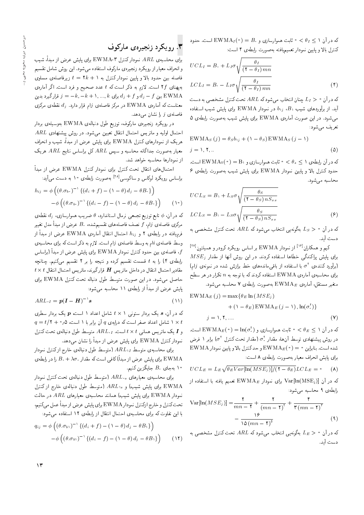که در آن ۱ $\theta_I \leq \theta_I \leq \epsilon$ ۰ ثابت هموارسازی و  $B \circ \mathrm{EWMA}_I (\circ) = B$  است. حدود %CU= 4 |x]@=Q CQwYx@ xDi=}s}taD Q=Owtv u}}=B w q=@ pQDvm s

$$
UCL_I = B. + L_I \sigma \sqrt{\frac{\theta_I}{(\Upsilon - \theta_I) \, mn}}
$$

$$
LCL_I = B. - L_I \sigma \sqrt{\frac{\theta_I}{(\Upsilon - \theta_I) \, mn}}
$$

$$
( \Upsilon )
$$

که در آن  $L_I>L_I$  چنان انتخاب میشود که  $ARL$  تحت کنترل مشخصی به دست آید. از برآوردهای شیب  $B_1$ ،  $b_{1j}$  در نمودار  $\rm{EWM}$  برای پایش شیب استفاده میشود. در این صورت آمارهی EWMA برای پایش شیب بهصورت رابطهی ۵ تعريف مي شود:

$$
\text{EWMA}_{S}(j) = \theta_{S}b_{1j} + (1 - \theta_{S}) \text{EWMA}_{S}(j - 1)
$$
\n
$$
j = 1, 1, ...
$$
\n
$$
(2)
$$

که در آن رابطهی ۱ $\theta_s\leq s<\mathbb{E}\leq\mathrm{EWA}_{\mathrm{S}}(\Omega^{\bullet})=\mathrm{EWA}_{\mathrm{S}}$  است. حدود کنترل بالا و پایین نمودار EWMA برای پایش شیب بهصورت رابطهی ۶ محاسبه می شود.

$$
UCL_S = B_1 + L_S \sigma \sqrt{\frac{\theta_S}{(\tau - \theta_S) n S_{xx}}}
$$
  

$$
LCL_S = B_1 - L_S \sigma \sqrt{\frac{\theta_S}{(\tau - \theta_S) n S_{xx}}}
$$
 (9)

که در آن  $S>N$  بهگونهیی انتخاب میشود که  $ARL$  تحت کنترل مشخصی به دست آيد.

کیم و همکاران<sup>[۱۶]</sup> از نمودار EWMA بر اساس رویکرد کرودر و همیلتون<sup>[۱۲]</sup><br>با نمایشگری که با ایران بارگری به سیاست مقدار MAGD  $MSE_j$  برای پایش پراکندگی خطاها استفاده کردند. در این روش آنها از مقدار (برآورد کنندهی ۲ م با استفاده از باقی۵ماندههای خط برازش شده در نمونهی زام)<br>استان استان استفاده استان استان کودن کراچ برای محاسبهی آمارهی EWMA استفاده کردند که با توجه به  $n$  تکرار در هر سطح ستغير مستقل، أمارەي  $\text{EWMA}_E$  بەصورت رابطەی ۷ محاسبە مى شود.

$$
\text{EWMA}_{E}(j) = \max \{ \theta_{E} \ln(MSE_{j}) + (1 - \theta_{E}) \text{EWMA}_{E}(j - 1), \ln(\sigma_{i}^{T}) \}
$$

$$
j = 1, \text{Y}, ... \tag{V}
$$

که در آن ۱ $\theta_E \in \mathbb{R}$  خابت هموارسازی و  $\ln(\sigma^X) = \ln(\sigma^X)$  است.<br>در سلسل مقابل استعمال استعمال استعمال استعمال است. در روش پیشنهادی توسط آن۵ا، مقدار که آمقدار تحت کنترل 'o برابر ۱ فرض<br>میساسیم با است. دارای مکافحات میکند از این باسکتران است.  $\mathrm{EWMA}$  شده است. بنابراین  $\Phi=(\mathrm{WMA}_{E}(\cdot)=\mathrm{EWMA}_{E}$  و حدکنترل بالا و پایین نمودار براى پايش انحراف معيار به صورت رابطهى ٨ است:

$$
UCL_E = L_E \sqrt{\theta_E Var[\ln(MSE_j)] / (\tau - \theta_E)} LCL_E = \text{ (A)}
$$

که در آن [ $\text{Var}[\ln(\text{MSE}_{\text{j}})]$  برای نمودار  $\text{EWMA}_E$  تعمیم یافته با استفاده از رابطهی ۹ محاسبه میشود:

$$
\operatorname{Var}\left[\ln(MSE_j)\right] = \frac{1}{mn - 1} + \frac{1}{(mn - 1)^{1}} + \frac{1}{n}(mn - 1)^{1}} - \frac{18}{n(mn - 1)^{0}}
$$
\n(4)

که در آن  $E>E$  بهگونهیی انتخاب میشود که  $ARL$  تحت کنترل مشخصی به دست آید.

## ۳. رویکرد زنجیره یمارکوف

بوای محاسبه $R$  نمودارکنترل ۳ -EWMA برای پایش عرض از مبدأ، شیب و انحراف معيار از رو يكرد زنجيرهى ماركوف استفاده مىشود. اين روش شامل تقسيم فاصله بین حدود بالا و پایین نمودارکنترل به ۲ $k+1$  ویرفاصلهی مساوی بهپهنای ۲ $f$  است. لازم به ذکر است که  $t$  عدد صحیح و فرد است. اگر آمارهی تین  $d_{j}-f$  و  $d_{j}+d_{j}$  برای  $d_{j}+f$  بین EWMA بین  $d_{j}+f$ معناست که آماره $\Delta$  EWMA در مرکز فاصلهی  $j$ ام قرار دارد.  $d_j$  نقطهی مرکزی فاصلهى j را نشان مىدهد.

در رويكرد زنجيرهى ماركوف، توزيع طول دنبالهى EWMA بهوسيلهى بردار  $ARL$  احتمال اولیه و ماتریس احتمال انتقال تعیین میشود. در روش پیشنهادی هریک از نمودارهای کنترل EWMA برای پایش عرض از مبدأ، شیب و انحراف معیار به صورت جداگانه محاسبه و سپس ARL کل براساس نتایج ARL هریک از نمودارها محاسبه خواهد شد.

احتمالهاى انتقال تحت كنترل براى نمودار كنترل EWMA عرض از مبدأ براساس رویکرد لوکاس و ساکوسی<sup>[۲۸]</sup> بهصورت رابطهی ۱۰ به دست میآید:<br>.

$$
h_{ij} = \phi\left((\theta.\sigma_{b^*})^{-1}\{(d_i + f) - (\lambda - \theta) d_j - \theta B^*\}\right) - \phi\left((\theta.\sigma_{b^*})^{-1}\{(d_i - f) - (\lambda - \theta) d_j - \theta B^*\}\right) \tag{1\circ}
$$

كه در آن،  $\phi$  تابع توزيع تجمعي نرمال استاندارد،  $\theta$  ضريب هموارسازى،  $d_j$  نقطهى مرکزی فاصلهی  $j$ ام،  $f$  نصف فاصلههای تقسیم $\omega$ شده،  $B$  عرض از مبدأ مدل تغییر نرمیافته در رابطهی ۲ و  $h_{ij}$  احتمال انتقال آمارهی  ${\rm EWM}$  عرض از مبدأ از وسط فاصلهى  $i$ ام به وسط فاصلهى  $j$ ام است. لازم به ذكر است كه براى محاسبهى تولي مقاصله تست عرض از مبدأ (براساس EWMA وتصف از مبدأ السلام P $f$ رابطهی ۴) را به t قسمت تقسیم کرده و نتیجه را بر ۲ تقسیم میکنیم. چنانچه  $t\times t$  مقادیر احتمال انتقال در داخل ماتریس  $\boldsymbol{H}$  قرار گیرند، ماتریس احتمال انتقال  $t$ حاصل میشود. در این صورت متوسط طول دنباله تحت کنترل EWMA برای پایش عرض از مبدأ از رابطهی ۱۱ محاسبه میشود:

$$
ARL_{\cdot I} = p(I - H)^{-1} s \tag{1}
$$

که در آن، ۶ یک بردار ستونی ۱ × ۲ شامل اعداد ۱ است، p یک بردار سطری<br>بوید ۱ هایا اینان میشوند که باشد و آنه با بوداری و همچنین ۱۷  $q = t/\mathsf{Y} + \circ$ شامل اعداد صفر است که درایهی  $q$  آن برابر با ۱ است، ۱/۵ - ۲ / ۲  $\times$  ۲ - ۱ - ۲ - ۲  $\times$  $\boldsymbol{I}$ و I یک ماتریس همانی  $t \times t$  است.  $ARL$ ، متوسط طول دنبالهی تحت کنترل  $\boldsymbol{I}$ نموداركنترل EWMA براي يايش عرض از مبدأ را نشان مبى،دهد.

برای محاسبهی متوسط  $ARL_{1I}$  (متوسط طول دنبالهی خارج ازکنترل نمودار براي يايش عرض از مبدأ)كافي است كه مقدار  $\delta \cdot + \delta \cdot J$  را در رابطهى  $\rm EWMA$ ا بهجای  $B.$  جایگزین کنیم.  $\bullet$ 

برای محاسبه ی معیارهای  $ARL$ ۰٫ (متوسط طول دنباله ی تحت کنترل نمودار برای پایش شیب) و  $ARL$  (متوسط طول دنبالهی خارج از کنترل  ${\rm EWMA}$  $F_{\rm eff}$  نمودار  ${\rm EWM}$  برای پایش شیب) همانند محاسبهی معیارهای  $ARL$  در حالت تحت كنترل و خارج ازكنترل نمودار EWMA براي پايش عرض از مبدأ عمل مى كنيم، با این تفاوت که برای محاسبهی احتمال انتقال از رابطهی ۱۲ استفاده میشود:<br>مصطلحه

$$
q_{ij} = \phi \left( (\theta . \sigma_{b1})^{-1} \{ (d_i + f) - (1 - \theta) d_j - \theta B_1 \} \right)
$$

$$
- \phi \left( (\theta . \sigma_{b1})^{-1} \{ (d_i - f) - (1 - \theta) d_j - \theta B_1 \} \right) \qquad (17)
$$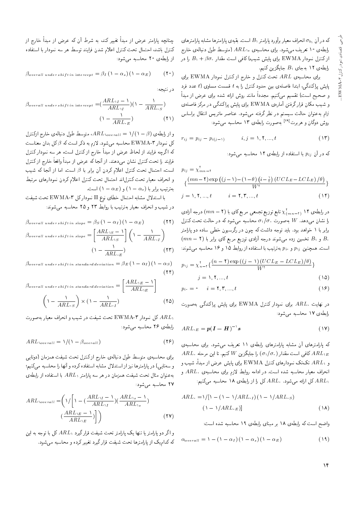كه در آن  $\sigma_b$  انحراف معيار برآورد پارلمتر B1 است. بقيه $\sigma_b$  واسترهاى  $\sigma_b$ رابطهی ۱۰ تعریف میشود. برای محاسبه ی  $ARL$  (متوسط طول دنبالهی خارج از کنترل نمودار EWMA برای پایش شیب) کافی است مقدار  $\beta\sigma$ . +  $B$  را در رابطهى ١٢ بهجاى  $B_1$  جايگزين كنيم.

برای محاسبه ی  $ARL$  تحت کنترل و خارج از کنترل نمودار EWMA برای پایش پراکندگی، ابتدا فاصلهی بین حدود کنترل را به t قسمت مساوی (t عدد فرد و صحيح است) تقسيم مىكنيم. مجدداً مانند روش ارائه شده براى عرض از مبدأ و شیب مکان قرار گرفتن آمارهی EWMA برای پایش پراکندگی در مرکز فاصلهی ام به عنوان حالت سیستم در نظر گرفته میشود. عناصر ماتریس انتقال براساس $j$ روش دوگان و هربرت<sup>[۲۹]</sup> بهصورت رابطهی ۱۳ محاسبه میشود:<br>.

$$
r_{ij} = p_{ij} - p_{i(j-1)} \t i, j = 1, 1, ..., t \t (17)
$$

که در آن  $p_{ij}$  با استفاده از رابطهی ۱۴ محاسبه می شود:

$$
p_{ij} = \chi_{mn-1}^{r}
$$
  
\n
$$
\left\{ \frac{(mn-1) \exp \left( (j-1) - (1-\theta) \left( i - \frac{1}{r} \right) (UCL_E - LCL_E) / \theta \right)}{W^{\dagger}} \right\}
$$
  
\n
$$
j = 1, 1, ..., t \qquad i = 1, 1, ..., t \qquad (15)
$$

 $\chi_{(mn-1)}$  در رابطه ی ۱۴  $\chi_{(mn-1)}^{\mathfrak{r}}$  تابع توزیع تجمعی مربع کای با (۲ –  $m$ ) درجه آزادی را نشان میدهد.  $W$  به صورت  $\sigma_1/\sigma$  محاسبه میشود که در حالت تحت کنترل برابر با ۱ خواهد بود. باید توجه داشت که چون در رگرسیون خطی ساده دو پارامتر  $(mn - 7)$  و  $B_1$  تخمین زده می شوند درجه آزادی توزیع مربع کای برابر با  $B_1$ است. همچنین  $p_{ij}$  و  $p_{i}$  بهترتیب با استفاده از روابط ۱۵ و ۱۶ محاسبه میشوند:

$$
p_{\lambda j} = \chi_{n-1}^{\dagger} \{ \frac{(n-1) \exp((j-1) (UCL_E - LCL_E)/\theta)}{W^{\dagger}} \}
$$
  

$$
j = \lambda, \Upsilon, ..., t
$$
 (10)

$$
p_{i*} = \bullet \qquad i = \text{Y}, \text{Y}, \dots, t \tag{18}
$$

در نهايت  $ARL$  براى نمودار كنترل  $\rm{EWM}$  براى پايش پراكندگى بهصورت رابطهی ۱۷ محاسبه می شود:

$$
ARL \cdot_E = p(\boldsymbol{I} - \boldsymbol{H})^{-1} s \tag{19}
$$

كه يارامترهاى آن مشابه بارامترهاى رابطهى ١١ تعريف مى شود. براى محاسبهى  $ARL$ ، كافى است مقدار  $(\sigma_{1}/\sigma_{\ast})$  را جايگزين  $W$ كنيم. تا اين مرحله  $ARL$ و ARL تکتک نمودارهای کنترل EWMA برای پایش عرض از مبدأ، شیب و انحراف معیار محاسبه شده است. در ادامه روابط لازم برای محاسبه $AL.$  و ،  $ARL$ کل ارائه میشود.  $ARL$  کل را از رابطهی ۱۸ محاسبه میکنیم:

$$
ARL. = \frac{1}{\left[1 - \left(1 - \frac{\lambda}{R} L_{\cdot I}\right)\left(1 - \frac{\lambda}{R} R L_{\cdot S}\right)\right]}\n\left(1 - \frac{\lambda}{R} R L_{\cdot E}\right)
$$
\n
$$
(1 - \lambda)
$$

واضع است كه رابطهى ١٨ بر مبناى رابطهى ١٩ محاسبه شده است:

$$
\alpha_{overall} = 1 - (1 - \alpha_I) (1 - \alpha_s) (1 - \alpha_E)
$$
 (14)

چنانچه پارلمتر عرض از مبدأ تغییر کند. به شرط آن که عرض از مبدأ خارج از<br>کندل اهمیداری استان و ترکیبا با از همین نامیدی با كنترل باشد، احتمال تحت كنترل اعلام شدن فرايند توسط هر سه نمودار با استفاده از رابطهى ٢٥ محاسبه مى شود:

$$
\beta_{\text{overall under shift in intercept}} = \beta_I \left( 1 - \alpha_s \right) \left( 1 - \alpha_E \right) \tag{1} \tag{1} \tag{2}
$$

در نتيجه:

$$
\beta_{overall\ under\ shift\ in\ intercept} = \left(\frac{ARL_{1I} - 1}{ARL_{1I}}\right)\left(1 - \frac{1}{ARL_{1S}}\right)
$$

$$
\left(1 - \frac{1}{ARL_{1E}}\right) \tag{11}
$$

و از رابطه ی (ARL  $\rho_{overall} = \sqrt{(1-\beta)}$ ، متوسط طول دنباله ی خارج ازکنترل  $\mathbb C$ کل نمودار EWMA-۳ محاسبه میشود. لازم به ذکر است که  $\beta$  کل بدان معناست که اگرچه فرایند از لحاظ عرض از مبدأ خارج از کنترل است، هر سه نمودار کنترل فرايند را تحت كنترل نشان مىدهند. از أنجا كه عرض از مبدأ واقعاً خارج از كنترل است، احتمال تحت كنترل اعلام كردن أن برابر با  $\beta$  است. اما از أنجا كه شيب و انحراف معيار تحت كنترل|ند احتمال تحت كنترل اعلام كردن نمودارهاى مرتبط بهترتیب برابر با  $(\lambda-\alpha_E)$  و  $(\lambda-\alpha_E)$  است.

با استدلال مشابه احتمال خطاى نوع II نموداركل EWMA-۳ تحت شيفت در شیب و انحراف معیار بهترتیب با روابط ۲۳ و ۲۵ محاسبه میشوند:

$$
\beta_{overall\ under\ shift\ in\ slope} = \beta_S \left( 1 - \alpha_I \right) \left( 1 - \alpha_E \right) \tag{11}
$$
\n
$$
\beta_{overall\ under\ shift\ in\ slope} = \left[ \frac{ARL_{1S} - 1}{ARL_{1S}} \right] \left( 1 - \frac{1}{ARL_{1I}} \right)
$$
\n
$$
\left( 1 - \frac{1}{ARL_{1E}} \right) \tag{12}
$$

 $\beta_{overall\ under\ shift\ in\ standard\ deviation} = \beta_E \left( 1 - \alpha_I \right) \left( 1 - \alpha_S \right)$  $(11)$ 

$$
\beta_{overall\ under\ shift\ in\ standard\ deviation} = \left[\frac{ARL_{\nu E} - \nu}{ARL_{\nu E}}\right]
$$
\n
$$
\left(\nu - \frac{\nu}{ARL_{\nu S}}\right) \times (\nu - \frac{\nu}{ARL_{\nu I}})
$$
\n(72)

CQWMA-۳ كل نمودار EWMA-۳ تحت شيفت در شيب و انحراف معيار به صورت رابطهی ۲۶ محاسبه میشود:

$$
ARL_{\text{lowerall}} = \frac{1}{\sqrt{1 - \beta_{\text{overall}}}} \tag{77}
$$

برای محاسبهی متوسط طول دنبالهی خارج از کنترل تحت شیفت همزمان (دوتایی و سهتایی) در پارامترها نیز از استدلال مشابه استفاده کرده و آنها را محاسبه میکنیم؛ بهعنوان مثال تحت شیفت همزمان در هر سه پارامتر  $ARL$  با استفاده از رابطه $\varepsilon$ ۲۷ محاسبه می شود:

$$
ARL_{\text{lowerall}} = \left(\frac{1}{\sqrt{\left(1 - \left(\frac{ARL_{\text{1}} - 1}{ARL_{\text{1}}}\right)\left(\frac{ARL_{\text{1}} - 1}{ARL_{\text{1}}}\right)}\right)}\right)
$$

$$
\left(\frac{ARL_{\text{1}}E - 1}{ARL_{\text{1}}E}\right)\right)
$$
(YV)

و اگر دو پارامتر یا تنها یک پارامتر تحت شیفت قرارگیرد ، ARL کل با توجه به این که کدامیک از پارامترها تحت شیفت قرار گیرد تغییر کرده و محاسبه می شود.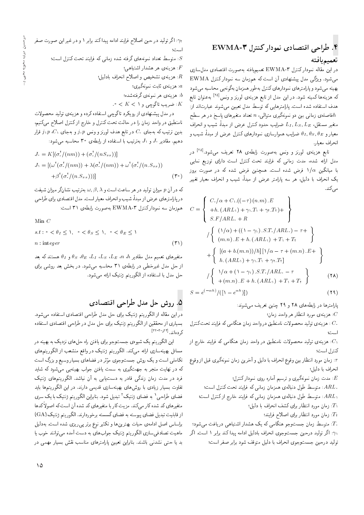### $\mathrm{EWMA}$ -۳ طراحی اقتصادی نمودار کنترل ۴ $^2$ تعميميافته

در این مقاله نمودار کنترل EWMA-۳ تعمیمیافته بهصورت اقتصادی مدل سازی می شود. ویژگی مدل پیشنهادی آن است که همزمان سه نمودار کنترل EWMA بهينه مي شود و يارامترهاي نمودارهاي كنترل بهطور همزمان بهگونهيي محاسبه مي شود که هزینهها کمینه شود. در این مدل از تابع هزینهی لورنز و ونس<sup>[۲۵]</sup> بهعنوان تابع<br>مستقل این مستقل این مسئل هدف استفاده شده است. پارامترهایی که توسط مدل تعیین می شوند عبارتاند از: فاصلهی زمانی بین دو نمونهگیری متوالی، n تعداد متغیرهای پاسخ در هر سطح $h$ متغير مستقل،  $L_I, L_S, L_E$  ضرايب حدود كنترل عرض از مبدأ، شيب و انحراف معیار و  $\theta_I,\theta_S,\theta_E$  ضرایب هموارسازی نمودارهای کنترل عرض از مبدأ، شیب و انحراف معيار.

تابع هزینهی لورنز و ونس بهصورت رابطهی ۲۸ تعریف میشود.<sup>[۱۲۵</sup> در<br>بابایی میستوریستان کو زارند و به کندار استفاد است مدل ارائه شده، مدت زمانی که فرایند تحت کنترل است دارای توزیع نمایی با میانگین ۱/a فرض شده است. همچنین فرض شده که در صورت بروز یک انحراف با دلیل، هر سه پارامتر عرض از مبدأ، شیب و انحراف معیار تغییر مى كند.  $\overline{z}$  $\frac{1}{2}$ 

$$
C = \begin{cases} C_{\cdot}/\alpha + C_{\cdot} \cdot ((-\tau) (n.m).E \\ +h. (ARL_{\cdot}) + \gamma, T_{\cdot} + \gamma, T_{\cdot}) + \\ S.F/ARL_{\cdot} + R \end{cases}
$$
  
\n
$$
/ \begin{cases} (\sqrt{\alpha}) + ((\sqrt{-\gamma}) . S.T_{\cdot}/ARL_{\cdot}) - \tau + \\ (m.n).E + h. (ARL_{\cdot}) + T_{\cdot} + T_{\cdot} \end{cases}
$$
  
\n
$$
+ \begin{cases} [(a + b.(m.n))/h] [\sqrt{\alpha} - \tau + (m.n).E + \\ h. (ARL_{\cdot}) + \gamma, T_{\cdot} + \gamma, T_{\cdot}] \end{cases}
$$
  
\n
$$
/ \begin{cases} \sqrt{\alpha} + (\sqrt{-\gamma}) . S.T_{\cdot}/ARL_{\cdot} - \tau \\ + (m.n).E + h. (ARL_{\cdot}) + T_{\cdot} + T_{\cdot} \end{cases}
$$
  
\n(7A)

$$
S = e^{(-\alpha h)} / ([1 - e^{\alpha h})])
$$
\n(11)

پارامترها در رابطههای ۲۸ و ۲۹ چنین تعریف می شوند:

: هزينهى مورد انتظار هر واحد زمان؛

هزینهی تولید محصولات نامنطبق در واحد زمان هنگامی که فرایند تحت کنترل :  $C$ است؛

: هزینهی تولید محصولات نامنطبق در واحد زمان هنگامی که فرایند خارج از كنترل است؛

زمان مورد انتظار بين وقوع انحراف با دليل و آخرين زمان نمونهگيري قبل از وقوع:  $\tau$ انحراف با دليل؛

هدت زمان نمونهگیری و ترسیم آماره روی نمودار کنترل:  $E$ 

هـ متوسط طول دنبالهى همزمان زمانى كه فرايند تحت كنترل است؛  $ARL$ 

. متوسط طول دنبالهى همزمان زمانىي كه فرايند خارج ازكنترل است؛  $ARL$ 

: زمان مورد انتظار برای کشف انحراف با دلیل؛  $T_{\lambda}$ 

: زمان مورد انتظار برای اصلاح فرایند؛

: متوسط زمان جستوجو هنگامی که یک هشدار اشتباهی دریافت می شود؛ yc: اگر تولید درحین جستوجوی انحراف بادلیل ادامه پیدا کند برابر ۱ است. اگر توليد درحين جستوجوي انحراف با دليل متوقف شود برابر صفر است؛

۰٫۲٪ اگر تولید در حین اصلاح فرایند ادامه پیداکند برابر ۱ و در غیر این صورت صفر است؛ . متوسط تعداد نمونههای گرفته شده زمانی که فرایند تحت کنترل است؛  $S$ 

: هزينه ي هر هشدار اشتباهي؛

 $\epsilon$ : هزينهى تشخيص و اصلاح انحراف بادليل:

هزينه ي ثابت نمونهگيري؛  $a$ 

هزینهی هر نمونهی گرفتهشده؛  $b$ 

 $0 \leq K < \infty$  : ضريب تاگوچى و \ $K >$  .

در مدل پیشنهادی از رویکرد تاگوچی استفاده کرده و هزینهی تولید محصولات نامنطبق در واحد زمان را در حالت تحت کنترل و خارج از کنترل اصلاح میکنیم. بدین ترتیب که بهجای  $C$  در تابع هدف لورنز و ونس  $j\!\cdot \!p$  و بهجای  $j\!\cdot \!p$  قرار دهیم. مقادیر  $J_1$  و  $J_2$  بهترتیب با استفاده از رابطهی ۳۰ محاسبه میشود:

$$
J_{\cdot} = K[(\sigma_{\cdot}^{\dagger}/(nm)) + (\sigma_{\cdot}^{\dagger}/(nS_{xx}))]
$$
  
\n
$$
J_{\cdot} = [(\omega^{\dagger}(\sigma_{\cdot}^{\dagger}/(nm)) + \lambda(\sigma_{\cdot}^{\dagger}/(nm)) + \omega^{\dagger}(\sigma_{\cdot}^{\dagger}/(n.S_{xx}))
$$
  
\n
$$
+ \beta^{\dagger}(\sigma_{\cdot}^{\dagger}/(n.S_{xx}))))]
$$
\n
$$
(T^{\circ})
$$

که در آن  $p$  میزان تولید در هر ساعت است و  $\alpha,\beta,\lambda$  بهترتیب نشانگر میزان شیفت در يارامترهاي عرض از مبدأ، شيب و انحراف معيار است. مدل اقتصادي براي طراحي همزمان سه نمودار كنترل EWMA-۳ به صورت رابطهى ۳۱ است:

Min C

$$
s.t: \circ < \theta_I \leq \lambda, \quad \circ < \theta_S \leq \lambda, \quad \circ < \theta_E \leq \lambda
$$
\n
$$
n: \text{integer} \tag{T}
$$

متغیرهای تعمیم مدل مقادیر E i $L$ ر i $L_S$  i $L_E$  in ih مقادیر b هستند که بعد از حل مدل غیرخطی در رابطهی ۳۱ محاسبه می شود. در بخش بعد روشی برای حل مدل با استفاده از الگوریتم ژنتیک ارائه میشود.

# ۵. روش حل مدل طراحی اقتصادی

در این مقاله از الگوریتم ژنتیک برای حل مدل طراحی اقتصادی استفاده می شود. بسیاری از محققین از الگوریتم ژنتیک برای حل مدل در طراحی اقتصادی استفاده کرده|ند.[۲۴<sub>۴°</sub>۳۲-۲۳]<br>اسل**ا**ع

این الگوریتم یک شیوه، جستوجو برای یافتن راه حلهای نزدیک به بهمینه در مسائل بهينهسازى ارائه مىكند. الگوريتم ژنتيک در واقع منشعب از الگوريتمهاى تکاملی است و یک روش جستوجوی مؤثر در فضاهای بسیار وسیع و بزرگ است<br>کمیسید است که در نهایت منجر به جهتگیری به سمت یافتن جواب بهینه یی می شود که شاید فرد در مدت زمان زندگی قادر به دستµبی به آن نباشد. الگوریتمهای ژنتیک تفاوت بسیار زیادی با روش های بهینهسازی قدیمی دارند. در این الگوریتم ها باید فضای طراحی' به فضای ژنتیک' تبدیل شود. بنابراین الگوریتم ژنتیک با یک سری<br>مقدار کردن کار میکن متغیرهای کد شده کار میکند. مزیت کار با متغیرهای کد شده آن است که اصولاً کدها<br>استان میرون است است است از قابليت تبديل فضاى پيوسته به فضاى گسسته برخوردارند. الگوريتم ژنتيک (GA) براساس اصل ادامهى حيات بهترين ها و تكثير نوع برتر پى ريزى شده است. بهدليل ماهيت تصادفي سازى الكوريتم ژنتيک جوابهاى به دست أمده مى توانند خوب يا بد یا حتی نشدنی باشند. بنابراین تعیین پارامترهای مناسب نقش بسیار مهمی در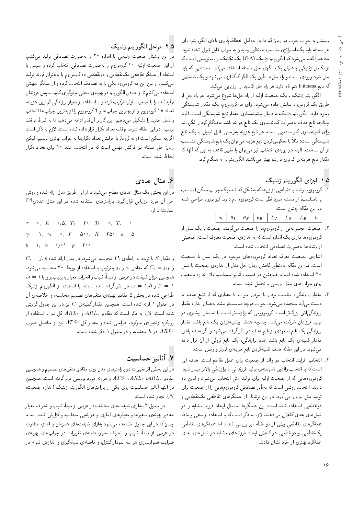رسیدن به جواب خوب در زمان کم دارد. بهدلیل انعطافپذیری بالای الگوریتم، برای هر مسئله باید یک استراتژی مناسب بهمنظور رسیدن به جواب قابل قبول اتخاذ شود. مختصراً گفته میشود که الگوریتم ژنتیک (GA) یک تکنیک برنامهنویسی است که از تکامل ژنتیکی بهعنوان یک الگوی حل مسئله استفاده میکند. مسئلهیی که باید حل شود ورودي است و راه حلها طبق يک الگو کدگذاري مي شود و يک شاخص که تابع Fitness هم نام دارد هر راه حل کاندید را ارزیابی میکند.

الگوریتم ژنتیک با یک جمعیت اولیه از راه حلها شروع می شود. هر راه حل از طریق یک کروموزوم نمایش داده مهرشود. برای هر کروموزوم، یک مقدار شایستگی وجود دارد. الگوریتم ژنتیک به دنبال بیشینهسازی مقدار تابع شایستگی است. البته چنانچه تابع هدف به صورت کمینهسازی یک تابع هزینه باشد بههنگام کردن الگوریتم برای کمینهسازی کار سادهیی است. هر تابع هزینه بهراحتی قابل تبدیل به یک تابع شایستگی است؛ مثلاً با معکوسکردن تابع هزینه می توان یک تابع شایستگی متناسب از أن ساخت. البته در رويهى انتخاب نيز مىتوان با تغيير قاعده به اين كه آنها كه مقدار تابع هزینهی کم تری دارند. بهتر می باشند الگوریتم را به هنگام کرد.

#### ١.٥. اجزاي الگوريتم ژنتيک

٦. كروموزوم: رشته يا دنبالهيي از ژن&اكه بهشكل كد شده يك جواب ممكن (مناسب یا نامناسب) از مسئله مورد نظر است کروموزوم نام دارد. کروموزوم طراحی شده در این مقاله چنین است:

٢. جمعیت: مجموعهیی ازکروموزومها را جمعیت میگویند. جمعیت یا یک نسل از کروموزومها داراي يک اندازه است که به اندازهي جمعيت معروف است. جمعيتي از رشتهها به صورت تصادفی انتخاب شده است.

اندازهى جمعيت معرف تعداد كروموزومهاى موجود دريك نسل يا جمعيت است. دراین مقاله بهمنظورکاهش زمان حل مدل از اندازهی جمعیت یا نسل ۲۰ استفاده شده است. همچنین در قسمت آنالیز حساسیت اثر اندازه جمعیت روی جواب های مدل بررسی و تحلیل شده است.

- ۳. مقدار برازندگی: مناسب بودن یا نبودن جواب با معیاری که از تابع هدف به دست مي]يد سنجيده مىشود. جواب هرچه مناسب تر باشد بههمان اندازه مقدار برازندگی|ش بزرگ تر است. کروموزومی که برازنده تر است با احتمال بیشتری در تولید فرزندان شرکت میکند. چنانچه هدف بیشینهکردن یک تابع باشد مقدار برازندگی یک تابع صعودی از تابع هدف در نظرگرفته می شود و اگر هدف یافتن مقدار کمینهی یک تابع باشد عدد برازندگی، یک تابع نزولی از آن قرار داده میشود. در این مقاله هدف کمینهکردن تابع هزینهی لورنز و ونس است.
- ۴. انتخاب: فرايند انتخاب دو والد از جمعيت براى عمل تقاطع است. هدف اين است كه با انتخاب والدين شايستهتر، توليد فرزنداني با برازندگي بالاتر ميسر شود. کروموزومهایی که از جمعیت اولیه برای تولید مثل انتخاب می شوند والدین نام دارند. انتخاب روشی است که بهطور تصادفی کروموزوم هایی را از جمعیت برای تولید مثل بیرون میآورد. در این نوشتار از عملگرهای تقاطعی یک نقطه یی و دونقطه یی استفاده شده است؛ این عملگرها احتمال ایجاد فرزند مشابه را در نسل های بعدی کاهش می دهند. لازم به ذکر است که با استفاده از سعی و خطا عملگرهای تقاطعی بیش از دو نقطه نیز بررسی شدند اما عملگرهای تقاطعی یک نقطه یی و دونقطه یی در کاهش ایجاد فرزندهای مشابه در نسل های بعدی عملکرد بهتری از خود نشان دادند.

### ٢.٥. مراحل الكوريتم ژنتيك

در این نوشتار جمعیت اولیهیی با اندازه ۲۰ را بهصورت تصادفی تولید میکنیم. از این جمعیت اولیه، ۱۰ کروموزوم را بهصورت تصادفی انتخاب کرده و سپس با استفاد از عملگر تقاطعی یک نقطه یی و دونقطه یی ده کروموزوم را به عنوان فرزند تولید می کنیم. از بین این ده کروموزوم یکی را به تصادف انتخاب کرده و از عملگر جهش استفاده میکنیم تا از افتادن الگوریتم در بهینهی محلبی جلوگیری کنیم. سپس فرزندان تولیدشده را با جمعیت اولیه ترکیب کرده و با استفاده از معیار برازندگی کم ترین هزینه، تعداد ١٨ كروموزوم را از بهترين جوابها و ٢ كروموزوم را از بدترين جوابها انتخاب و نسل جدید را تشکیل میدهیم. این کار را آنقدر ادامه میدهیم تا به شرط توقف برسیم. در این مقاله شرط توقف تعداد تکرار قرار داده شده است. لازم به ذکر است اگرچه ممکن است (و نه لزوماً) با افزایش تعداد تکرارها به جواب بهتری برسیم، لیکن زمان حل مسئله نیز فاکتور مهمی است که در انتخاب عدد ۱۰ برای تعداد تکرار لحاظ شده است.

### ۶. مثال عددی

دراین بخش یک مثال عددی مطرح میشود تا از این طریق مدل ارائه شده و روش حل آن مورد ارزیابی قرار گیرد. پارامترهای استفاده شده در این مثال عددی<sup>[۲۸]</sup> عبارتاند از:

 $\tau = \circ$ ,  $E = \circ_1 \circ$ ,  $T_1 = \tau \circ$ ,  $T_t = \circ$ ,  $T_s = \circ$  $\gamma_1 = 1, \gamma_1 = 0, F = \delta_0 \circ R = 1 \delta_0, a = \delta$  $b = 1, \alpha = \circ, \circ 1, p = 1$ 

 $C_1 = j_2 p$  و مقدار  $S$  با توجه به رابطهى ٢٩ محاسبه مى شود. در مدل ارائه شده و و  $C_1 = j_1$  که مقادیر  $j_1$  و ۱ بهترتیب با استفاده از روبط ۳۰ محاسبه می شود.  $\lambda=\lambda$  همچنین میزان شیفت در عرض از مبدأ، شیب و انحراف معیار بهترتیب برابر با ۱ و ۱٫۵ =  $\omega = \omega$  در نظر گرفته شده است. با استفاده از الگوریتم ژنتیک  $\beta = 1$ طراحی شده در بخش ۵ مقادیر بهینهی متغیرهای تصمیم محاسبه، و خلاصهی آن در جدول ۱ ارائه شده است. همچنین مقدار کمینهی  $C$  نیز در این جدول گزارش شده است. لازم به ذکر است که مقادیر  $ARL$  و  $ARL$  کل نیز با استفاده از رویکرد زنجیرهی مارکوف طراحی شده و مقدار کل  $ATS$  نیز از حاصل ضرب در h محاسبه و در جدول ۱ ذکر شده است.  $ARL_1$ 

#### ٧. آناليز حساسيت

دراین بخش اثر تغییرات در پارامترهای مدل روی مقادیر متغیرهای تصمیم و همچنین مقادیر ، $ARL$ ، ، $ARL$ ، ، $ARL$  و هزینه مورد بررسی قرار گرفته است. همچنین در انتها آنالیز حساسیت روی یکی از پارامترهای الگوریتم ژنتیک (اندازه جمعیت، انجام شده است.  $(N)$ 

در جدول ۲، بهازای شیفتهای مختلف در عرض از میداً، شیب و انحراف معیار مقادیر بهینهی متغیرها و معیارهای آماری و هزینهیی محاسبه و گزارش شده است. چنان که در این جدول مشاهده میشود بهازای شیفتهای همزمان با اندازه متفاوت در عرض از مبدأً، شیب و انحراف معیار، دامنهی تغییرات در جوابهای بهینهی ضرایب هموارسازی هر سه نمودارکنترل، و فاصلهی نمونهگیری و اندازهی نمونه در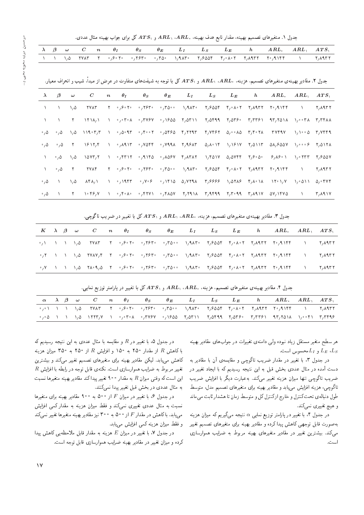جدول ١. متغيرهاى تصميم بهينه، مقدار تابع هدف بهينه،  $ARL$ ،  $ARL$ ، جم $AFL$  كل براى جواب بهينه مثال عددى.

|  |  |  |  |  |  | $\lambda$ $\beta$ $\omega$ $C$ $n$ $\theta_I$ $\theta_S$ $\theta_E$ $L_I$ $L_S$ $L_E$ $h$ $ARL$ , $ARL$ , $ATS$ , |  |
|--|--|--|--|--|--|-------------------------------------------------------------------------------------------------------------------|--|
|  |  |  |  |  |  | ا د اړه ۲۷۸۳ ته پېړۍ په کال ۲۳۵۰ کې کالمکې په کال کال په کړې کې د ۲۰ کلم کې د ۲۰ کلم کې له د ۲۰ کلم کې د کال ک    |  |
|  |  |  |  |  |  |                                                                                                                   |  |

جدول ۲. مقادیر بهینهی متغیرهای تصمیم، هزینه،  $ARL$ ،  $ARL$  و  $ATS$  کل با توجه به شیفتهای متفاوت در عرض از مبداً، شیب و انحراف معیار.

| $\lambda$             | $\beta$                     | $\boldsymbol{\omega}$ | $\boldsymbol{C}$                                                                                                                                                                                                                                                                                                                                                                                          | $n \theta_I$ |  | $\theta_S$ $\theta_E$ $L_I$ $L_S$ $L_E$ |  | h $ARL$ , $ARL$ , $ATS$                                                                                                                                                                                                                                                                                                                                                                                                       |                   |                                    |
|-----------------------|-----------------------------|-----------------------|-----------------------------------------------------------------------------------------------------------------------------------------------------------------------------------------------------------------------------------------------------------------------------------------------------------------------------------------------------------------------------------------------------------|--------------|--|-----------------------------------------|--|-------------------------------------------------------------------------------------------------------------------------------------------------------------------------------------------------------------------------------------------------------------------------------------------------------------------------------------------------------------------------------------------------------------------------------|-------------------|------------------------------------|
|                       | $\Delta$                    | $\lambda/\Delta$      | <b>TYAT</b>                                                                                                                                                                                                                                                                                                                                                                                               |              |  |                                         |  |                                                                                                                                                                                                                                                                                                                                                                                                                               |                   |                                    |
|                       | $\Delta$                    |                       |                                                                                                                                                                                                                                                                                                                                                                                                           |              |  |                                         |  | ۲ – ۲۳۸۸ ۲۰۰۴ ۱۲۱۸ (۱۳۶۴ – ۲۳۷۶۷) ۲۵۵۹ (۲۸۳۲ – ۲۳۸۴ – ۲۳۸۴ – ۲۲۰۲ (۲۳۸۸ – ۲۲۰۲ – ۲۲۰۲ – ۲۲۰۲ – ۲۲۰۲ – ۲۲۰۲ – ۲                                                                                                                                                                                                                                                                                                                |                   |                                    |
| $^{\circ}$ / $\Delta$ |                             |                       |                                                                                                                                                                                                                                                                                                                                                                                                           |              |  |                                         |  | $\cdot$ <sub>/</sub> ۵ ) <sub>/</sub> ۵ )۱۹۰۳٫۳ ) $\cdot$ <sub>/</sub> ۵۰۹۳ $\cdot$ /۴۰۰۲ $\cdot$ /۵۴۶۵ ۴/۲۲۹۳ ۴/۷۴۶۲ ۵/۰۰۸۵ ۳/۴۰۲۸ ۳۷۴۹۷ )/۱۰۰۵ ۳/۷۴۴۹                                                                                                                                                                                                                                                                       |                   |                                    |
| $\cdot$ , $\Delta$    | $^{\circ}$ , $\Delta$       |                       |                                                                                                                                                                                                                                                                                                                                                                                                           |              |  |                                         |  | . T. ISIT/E. I = 0,49.15 = 0,70.15 = 0,79.9.15 = 0,40.15 = 1,19.17 = 1,0117 = 0,0107 = 1,0117 = 1,017                                                                                                                                                                                                                                                                                                                         |                   |                                    |
| $\lambda$             | $\cdot$ , $\circ$ , $\circ$ |                       |                                                                                                                                                                                                                                                                                                                                                                                                           |              |  |                                         |  |                                                                                                                                                                                                                                                                                                                                                                                                                               |                   |                                    |
| $\mathcal{L}$         | $^{\circ}$ , $\Delta$       | $\mathsf{Y}$          |                                                                                                                                                                                                                                                                                                                                                                                                           |              |  |                                         |  | TVAF T $\circ_1$ 8.05 $\circ_1$ 785 $\circ_1$ 70.0 $\circ_1$ 9485 $\circ_1$ 8005 $f_1 \circ A_1$ 07 $f_2$ 4977 $f_1$                                                                                                                                                                                                                                                                                                          | <b>CONTRACTOR</b> | ۲٫۸۹۳۲                             |
| $\cdot$ , $\Delta$    | $\Delta$                    | $\lambda/\Delta$      |                                                                                                                                                                                                                                                                                                                                                                                                           |              |  |                                         |  | $\Delta f \wedge \Delta f = 1 - \frac{1}{2} \sqrt{1 + \frac{1}{2} \sqrt{1 + \frac{1}{2} \sqrt{1 + \frac{1}{2} \sqrt{1 + \frac{1}{2} \sqrt{1 + \frac{1}{2} \sqrt{1 + \frac{1}{2} \sqrt{1 + \frac{1}{2} \sqrt{1 + \frac{1}{2} \sqrt{1 + \frac{1}{2} \sqrt{1 + \frac{1}{2} \sqrt{1 + \frac{1}{2} \sqrt{1 + \frac{1}{2} \sqrt{1 + \frac{1}{2} \sqrt{1 + \frac{1}{2} \sqrt{1 + \frac{1}{2} \sqrt{1 + \frac{1}{2} \sqrt{1 + \frac{$ |                   |                                    |
| $^{\circ}$ , $\Delta$ |                             |                       | $\mathsf{Y}$ , $\mathsf{Y} \circ \mathsf{Y}$ , and $\mathsf{Y} \circ \mathsf{Y} \circ \mathsf{Y}$ , $\mathsf{Y} \circ \mathsf{Y} \circ \mathsf{Y}$ , $\mathsf{Y} \circ \mathsf{Y}$ , $\mathsf{Y} \circ \mathsf{Y}$ , $\mathsf{Y} \circ \mathsf{Y}$ , $\mathsf{Y} \circ \mathsf{Y}$ , $\mathsf{Y} \circ \mathsf{Y}$ , $\mathsf{Y} \circ \mathsf{Y}$ , $\mathsf{Y} \circ \mathsf{Y}$ , $\mathsf{Y} \circ \$ |              |  |                                         |  |                                                                                                                                                                                                                                                                                                                                                                                                                               | <b>CONTRACTOR</b> | $\mathsf{r},\mathsf{\Lambda}$ 9.17 |

جدول ۳. مقادیر بهینهی متغیرهای تصمیم، هزینه،  $ARL$ ،  $ARL$ ،  $ARL$ و  $\lambda T S$  کل با تغییر در ضریب تاگوچی.

|  |  |  |  |  |  |  | $K \quad \lambda \quad \beta \quad \omega \quad C \quad \quad n \quad \quad \theta_I \quad \quad \theta_S \quad \quad \theta_E \quad \quad L_I \quad \quad L_S \quad \quad L_E \quad \quad \, h \quad \quad ARL, \quad ARL \quad \quad ATS \setminus \quad$ |  |
|--|--|--|--|--|--|--|-------------------------------------------------------------------------------------------------------------------------------------------------------------------------------------------------------------------------------------------------------------|--|
|  |  |  |  |  |  |  |                                                                                                                                                                                                                                                             |  |
|  |  |  |  |  |  |  |                                                                                                                                                                                                                                                             |  |
|  |  |  |  |  |  |  |                                                                                                                                                                                                                                                             |  |
|  |  |  |  |  |  |  |                                                                                                                                                                                                                                                             |  |

جدول ۴. مقادیر بهینهی متغیرهای تصمیم، هزینه،  $ARL$ ،  $ARL$ ، و  $ATS$  کل با تغییر در پارامتر توزیع نمایی.

|  |  |  |  |  |  | $\alpha$ $\lambda$ $\beta$ $\omega$ $C$ $n$ $\theta_I$ $\theta_S$ $\theta_E$ $L_I$ $L_S$ $L_E$ $h$ $ARL$ , $ARL$ , $ATS$                                                                                                                                                            |  |
|--|--|--|--|--|--|-------------------------------------------------------------------------------------------------------------------------------------------------------------------------------------------------------------------------------------------------------------------------------------|--|
|  |  |  |  |  |  | $\sim_{\ell} \sim 1$ , $\sim 1$ , $\sim 1$ , $\sim 1$ , $\sim 1$ , $\sim 1$ , $\sim 1$ , $\sim 1$ , $\sim 1$ , $\sim 1$ , $\sim 1$ , $\sim 1$ , $\sim 1$ , $\sim 1$ , $\sim 1$ , $\sim 1$ , $\sim 1$ , $\sim 1$ , $\sim 1$ , $\sim 1$ , $\sim 1$ , $\sim 1$ , $\sim 1$ , $\sim 1$ , |  |
|  |  |  |  |  |  | $\overline{a}$ , and the control of the control of the control of the control of the control $\overline{a}$ of the control $\overline{a}$                                                                                                                                           |  |

هر سطح متغیر مستقل زیاد نبوده ولی دامنهی تغییرات در جواب های مقادیر بهینه و  $L_I$ محسوس است.  $L_E$ 

در جدول ۳، با تغییر در مقدار ضریب تاگوچی و مقایسهی آن با مقادیر به دست آمده در مثال عددی بخش قبل به این نتیجه رسیدیم که با ایجاد تغییر در ضریب تاگوجی تنها میزان هزینه تغییر میکند. بهعبارت دیگر با افزایش ضریب تاگوچی، هزینه افزایش می،یابد و مقادیر بهینه برای متغیرهای تصمیم مدل، متوسط طول دنبالهي تحت كنترل و خارج ازكنترل كل و متوسط زمان تا هشدار ثابت مىماند و هیچ تغییری نمی<sub>ک</sub>ند.

در جدول ۴. با تغییر در پارامتر توزیع نمایی  $\alpha$  نتیجه می $\zeta$ یه که میزان هزینه به صورت قابل توجهي كاهش پيدا كرده و مقادير بهينه براى متغيرهاى تصميم تغيير میکند. بیشترین تغییر در مقادیر متغیرهای بهینه مربوط به ضرایب هموارسازی است.

در جدول ۵، با تغییر در  $R$  و مقایسه با مثال عددی به این نتیجه رسیدیم که با کاهش  $R$  از مقدار ۲۵۰ به ۱۵۰ و افزایش  $R$  از ۲۵۰ به ۳۵۰ میزان هزینه کاهش <sub>صیا</sub>باد. لیکن مقادیر بهینه برای متغیرهای تصمیم تغییر میکند و بیشترین  $R$  تغییر مربوط به ضرایب هموارسازی است. نکتهی قابل توجه در رابطه با افزایش این است که وقتی میزان  $R$  به مقدار ۹۰۰ تغییر پیدا کند مقادیر بهینه متغیرها نسبت به مثال عددی در بخش قبل تغییر پیدا نمیکنند.

در جدول ۶، با تغییر در میزان  $F$  از ۵۰۰ به ۹۰۰ مقادیر بهینه برای متغیرها نسبت به مثال عددی تغییری نمیکند و فقط میزان هزینه به مقدار کمی افزایش می یابد. باکاهش در مقدار  $F$  از ۵۰۰ به ۳۰۰ نیز مقادیر بهینه متغیرها تغییر نمی کند و فقط میزان هزینه کمی افزایش می یابد.

در جدول ۷، با تغییر در میزان  $E$  هزینه به مقدار قابل ملاحظه یی کاهش پیدا كرده و ميزان تغيير در مقادير بهينه ضرايب هموارسازى قابل توجه است.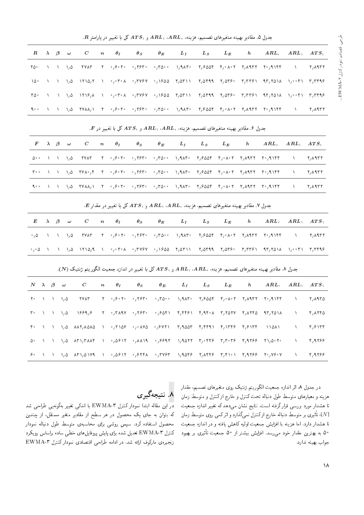. جدول ۵. مقادیر بهینه متغیرهای تصمیم، هزینه،  $ARL$ ۱،  $ARL$ ۲ و  $ATS$  کل با تغییر در پارامتر  $R$ .

|  | $R$ $\lambda$ $\beta$ $\omega$ | $C \qquad n \qquad \theta_I$ |  | $\theta_S$ | $\theta_E$ | $L_I$ | $L_S$ $L_E$ |  | $h \qquad ARL, \quad ARL, \quad ATS,$ |                 |
|--|--------------------------------|------------------------------|--|------------|------------|-------|-------------|--|---------------------------------------|-----------------|
|  |                                |                              |  |            |            |       |             |  |                                       | ۲ <b>, ۱۹۳۲</b> |
|  |                                |                              |  |            |            |       |             |  |                                       |                 |
|  |                                |                              |  |            |            |       |             |  |                                       |                 |
|  |                                |                              |  |            |            |       |             |  |                                       | ۲٫۸۹۳۲          |

| $F \quad \lambda \quad \beta \quad \omega \quad C \quad n \quad \theta_I \quad \theta_S \quad \theta_E \quad L_I \quad \quad L_S \quad \quad L_E \quad \quad h \quad \quad ARL, \quad ARL, \quad ATS,$<br>$\Delta$ °° \ \ \, $\Delta$ YYAT Y °, $\beta$ °Y° °, $\gamma$ 57° °, $\Gamma$ 0°° \, $\gamma$ AT° Y, $\beta$ ۵۵۴ ۴, $\circ$ ۱۹°۲ ۲,۸۹۳۲ ۲°, $\gamma$ ۹۱۴۴ \ Y,۸۹۳۲ |  |
|------------------------------------------------------------------------------------------------------------------------------------------------------------------------------------------------------------------------------------------------------------------------------------------------------------------------------------------------------------------------------|--|
|                                                                                                                                                                                                                                                                                                                                                                              |  |
|                                                                                                                                                                                                                                                                                                                                                                              |  |
| الله به الله من الله من الله من الله من الله عليه الله عليه الله من الله من الله من الله من الله من الله من ال                                                                                                                                                                                                                                                               |  |
| ا ۹۰۰ / ۱/۵ ۲۷۸۸٫۱ ۲ ۰٫۶۰۲۰ ۰٫۲۶۳۰ ۰٫۳۵۰۰ ۱٫۹۸۳۰ ۲٫۶۵۵۴ ۴٫۰۸۰۲ ۲٫۸۹۳۲ ۲۰٫۹۱۴۴ با ۲۷۸۸٫۱ ۲                                                                                                                                                                                                                                                                                    |  |

. $E$  جدول ۷. مقادیر بهینه متغیرهای تصمیم، هزینه،  $ARL$ ،  $ARL$ ، و  $ATS$  کل با تغییر در مقدار  $E$ 

|  |  |  |  |  |  | $E$ $\lambda$ $\beta$ $\omega$ $C$ $n$ $\theta_I$ $\theta_S$ $\theta_E$ $L_I$ $L_S$ $L_E$ $h$ $ARL$ , $ARL$ , $ATS$ ,                                                                                                                                                                                                                                                                                                                                                                                      |  |
|--|--|--|--|--|--|------------------------------------------------------------------------------------------------------------------------------------------------------------------------------------------------------------------------------------------------------------------------------------------------------------------------------------------------------------------------------------------------------------------------------------------------------------------------------------------------------------|--|
|  |  |  |  |  |  | $\cdot$ , $\Delta$ ) ) ), $\Delta$ , in the interest in the interest of the interest in the interest in the interest interest in the interest of the interest of the interest of the interest of the interest of the interest of the int                                                                                                                                                                                                                                                                   |  |
|  |  |  |  |  |  | $\sim_{f}\circ \Delta$ ) \ \,& \1\\&,A \ $\circ_{f}\circ r\circ \Delta$ $\sim_{f}$ Y&V $\circ_{f}\wedge r\wedge \Delta$ 1, $\Delta r\wedge \Delta$ 1, $\Delta r\wedge \Delta r\wedge \Delta r\wedge \Delta r\wedge \Delta r\wedge \Delta r\wedge \Delta r\wedge \Delta r\wedge \Delta r\wedge \Delta r\wedge \Delta r\wedge \Delta r\wedge \Delta r\wedge \Delta r\wedge \Delta r\wedge \Delta r\wedge \Delta r\wedge \Delta r\wedge \Delta r\wedge \Delta r\wedge \Delta r\wedge \Delta r\wedge \Delta r$ |  |

جدول ٨. مقادير بهينه متغيرهاي تصميم، هزينه،  $ARL$ ،  $ARL$  و  $ATS$  كل با تغيير در اندازه جمعيت الگوريتم ژنتيک (N).

|    |  | $N$ $\lambda$ $\beta$ $\omega$ | $\overline{C}$                                                                                                                                                                                                                                                                                                                                                          | $n \theta_I$ | $\theta_S$ | $\theta_E$ |  | $L_I$ $L_S$ $L_E$ | $h \qquad ARL, \quad ARL, \quad ATS,$ |                                         |        |
|----|--|--------------------------------|-------------------------------------------------------------------------------------------------------------------------------------------------------------------------------------------------------------------------------------------------------------------------------------------------------------------------------------------------------------------------|--------------|------------|------------|--|-------------------|---------------------------------------|-----------------------------------------|--------|
|    |  |                                | $Y^{\circ}$ ) ) ), $\Delta$ and $Y^{\circ}$ , $Y^{\circ}$ , $Y^{\circ}$ , $Y^{\circ}$ , $Y^{\circ}$ , $Y^{\circ}$ , $Y^{\circ}$ , $Y^{\circ}$ , $Y^{\circ}$ , $Y^{\circ}$ , $Y^{\circ}$ , $Y^{\circ}$ , $Y^{\circ}$ , $Y^{\circ}$ , $Y^{\circ}$ , $Y^{\circ}$ , $Y^{\circ}$ , $Y^{\circ}$ , $Y^{\circ}$ , $Y^{\circ}$                                                   |              |            |            |  |                   |                                       | <b>CONTRACTOR</b>                       | ۲,۸۹۳۵ |
|    |  |                                | $\mathbb{T}^{\circ}$ , ), ), (), $\mathbb{R}^{\circ}$ , $\mathbb{R}^{\circ}$ , $\mathbb{R}^{\circ}$ , $\mathbb{R}^{\circ}$ , $\mathbb{R}^{\circ}$ , $\mathbb{R}^{\circ}$ , $\mathbb{R}^{\circ}$ , $\mathbb{R}^{\circ}$ , $\mathbb{R}^{\circ}$ , $\mathbb{R}^{\circ}$ , $\mathbb{R}^{\circ}$ , $\mathbb{R}^{\circ}$ , $\mathbb{R}^{\circ}$ , $\$                         |              |            |            |  |                   |                                       | $\mathcal{L}$                           | ۴٬۸۲۴۵ |
|    |  |                                |                                                                                                                                                                                                                                                                                                                                                                         |              |            |            |  |                   |                                       | $\mathcal{L} = \mathcal{L} \mathcal{L}$ | ۴٫۶۱۳۴ |
| ۵∘ |  |                                | $\lambda$ ) $\lambda$ ), $\Delta$ $\lambda$ r $\lambda$ , $\lambda$ f ) $\rightarrow$ ( $\Delta$ 8 $\lambda$ r $\rightarrow$ ( $\lambda$ 1 $\lambda$ 1 $\rightarrow$ ( $\beta$ 817 $\lambda$ 1), $\lambda$ 617 $\gamma$ ( $\lambda$ 817 $\gamma$ ), $\lambda$ 617 $\gamma$                                                                                              |              |            |            |  |                   |                                       | $\sim$ $\sim$                           | ۴٫۹۲۶۶ |
|    |  |                                | $\mathcal{S}^{\circ}$ , ) , ), $\Delta$ $\Lambda$ ri, $\Delta$ ivi, i $\mathcal{S}^{\circ}$ , , $\Delta \mathcal{S}$ iri, $\mathcal{S}^{\circ}$ , $\mathcal{S}^{\circ}$ , $\mathcal{S}^{\circ}$ , $\mathcal{S}^{\circ}$ , $\mathcal{S}^{\circ}$ , $\mathcal{S}^{\circ}$ , $\mathcal{S}^{\circ}$ , $\mathcal{S}^{\circ}$ , $\mathcal{S}^{\circ}$ , $\mathcal{S}^{\circ}$ |              |            |            |  |                   |                                       | $\mathcal{N}$                           | 4,9799 |
|    |  |                                |                                                                                                                                                                                                                                                                                                                                                                         |              |            |            |  |                   |                                       |                                         |        |

در جدول ۸، اثر اندازه جمعیت الگوریتم ژنتیک روی متغیرهای تصمیم، مقدار هزينه و معيارهاى متوسط طول دنباله تحت كنترل و خارج ازكنترل و متوسط زمان تا هشدار مورد بررسی قرارگرفته است. نتایج نشان میدهد که تغییر اندازه جمعیت (N)، تأثيرى بر متوسط دنباله خارج ازكنترل نمىكذارد و اثركمى روى متوسط زمان<br>تاريخ العامل و العلم العلمان المقام و الحمل كل من المقام العامل تا هشدار دارد. اما هزينه با افزايش جمعيت اوليه كاهش يافته و در اندازه جمعيت ۵° به بهترین مقدار خود می رسد. افزایش بیشتر از ۵۰ جمعیت تأثیری بر بهبود<br>ما جواب بهينه ندارد.

# .<br>۸. نتیجهگیری

در این مقاله ابتدا نمودار کنترل EWMA-۳ با اندکی تغییر بهگونهیی طراحی شد که بتوان به جای یک محصول در هر سطح از مقادیر متغیر مستقل، از چندین محصول استفاده كرد. سپس روشي براى محاسبهى متوسط طول دنباله نمودار كنترل EWMA-T تعديل شده براى پايش پروفايل هاى خطى ساده براساس رويكرد زنجيرهى ماركوف ارائه شد. در ادامه طراحي اقتصادى نمودار كنترل EWMA-T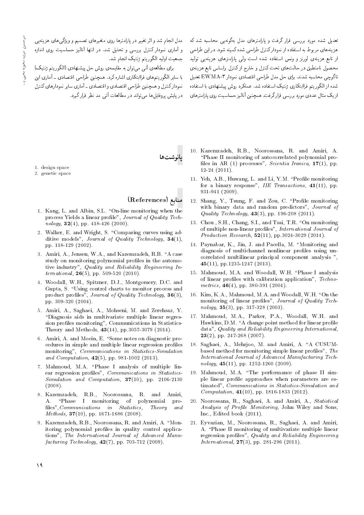مدل انجام شد و اثر تغییر در پارامترها روی متغیرهای تصمیم و ویژگی های هزینهیی و آماری نمودار کنترل بررسی و تحلیل شد. در انتها آنالیز حساسیت روی اندازه جمعيت اوليه الگوريتم ژنتيک انجام شد.

برای مطالعهی آتی می توان به مقایسهی روش حل پیشنهادی (الگوریتم ژنتیک) با سایر الگوریتمهای فراابتکاری اشاره کرد. همچنین طراحی اقتصادی ـ آماری این نیودار کنترل و همچنین طراحی اقتصادی و اقتصادی - آماری سایر نمودارهای کنترل در پایش بروفایل ها می تواند در مطالعات آتی مد نظر قرار گیرد.

تعدیل شده مورد بررسی قرار گرفت و پارامترهای مدل بهگونهیی محاسبه شد که هزينه هاي مربوط به استفاده از نموداركنترل طراحي شده كمينه شود. در اين طراحي از تابع هزینهی لورنز و ونس استفاده شده است ول<sub>ی</sub> پارامترهای هزینهی<sub>ی</sub> تولید \_<br>محصول نامنطبق در حالت¢اى تحت كنترل و خارج ازكنترل براساس تابع هزينهى تاگوچي محاسبه شدند. براي حل مدل طراحي اقتصادي نمودار EWMA-۳ تعديل شده از الگوریتم فراابتکاری ژنتیک استفاده شد. عملکرد روش پیشنهادی با استفاده ازيک مثال عددي مورد بررسي قرارگرفت. همچنين أناليز حساسيت روي پارامترهاي

1. design space

2. genetic space

#### منابع (References)

بانوشت ها

- 1. Kang, L. and Albin, S.L. "On-line monitoring when the process Yields a linear profile", Journal of Quality Technology,  $32(4)$ , pp. 418-426 (2000).
- 2. Walker, E. and Wright, S. "Comparing curves using additive models", Journal of Quality Technology,  $34(1)$ , pp. 118-129 (2002).
- 3. Amiri, A., Jensen, W.A., and Kazemzadeh, R.B. "A case study on monitoring polynomial profiles in the automotive industry", Quality and Reliability Engineering International, 26(5), pp. 509-520 (2010).
- 4. Woodall, W.H., Spitzner, D.J., Montgomery, D.C. and Gupta, S. \Using control charts to monitor process and product profiles", Journal of Quality Technology, 36(3), pp. 309-320 (2004).
- 5. Amiri, A., Saghaei, A., Mohseni, M. and Zerehsaz, Y. "Diagnosis aids in multivariate multiple linear regression profiles monitoring", Communications in Statistics-Theory and Methods, 43(14), pp.3057-3079 (2014).
- 6. Amiri, A. and Moein, E. "Some notes on diagnostic procedures in simple and multiple linear regression profiles monitoring", Communications in Statistics-Simulation and *Computation*, **42**(5), pp. 981-1002 (2013).
- 7. Mahmoud, M.A. "Phase I analysis of multiple linear regression profiles", *Communications in Statistics*-Simulation and Computation, 37(10), pp. 2106-2130 (2008).
- 8. Kazemzadeh, R.B., Noorossana, R. and Amiri, A. "Phase I monitoring of polynomial profiles", Communications in Statistics, Theory and Methods, 37(10), pp. 1671-1686 (2008).
- 9. Kazemzadeh, R.B., Noorossana, R. and Amiri, A. "Monitoring polynomial profiles in quality control applications", The International Journal of Advanced Manu $facturing\ Technology, 42(7), pp. 703-712\ (2009).$
- 10. Kazemzadeh, R.B., Noorossana, R. and Amiri, A. \Phase II monitoring of autocorrelated polynomial pro files in AR (1) processes", Scientia Iranica,  $17(1)$ , pp. 12-24 (2011).
- 11. Yeh, A.B., Huwang, L. and Li, Y.M. "Profile monitoring for a binary response", IIE Transactions, 41(11), pp. 931-941 (2009).
- 12. Shang, Y., Tsung, F. and Zou, C. "Profile monitoring with binary data and random predictors", Journal of *Quality Technology*,  $43(3)$ , pp. 196-208 (2011).
- 13. Chou, S.H., Chang, S.I., and Tsai, T.R. "On monitoring of multiple non-linear profiles", International Journal of *Production Research*,  $52(11)$ , pp. 3024-3029 (2014).
- 14. Paynabar, K., Jin, J. and Pacella, M. \Monitoring and diagnosis of multichannel nonlinear profiles using uncorrelated multilinear principal component analysis ", 45(11), pp.1235-1247 (2013).
- 15. Mahmoud, M.A. and Woodall, W.H. \Phase I analysis of linear profiles with calibration application", Technometrics,  $46(4)$ , pp. 380-391 (2004).
- 16. Kim, K.A., Mahmoud, M.A. and Woodall, W.H. "On the monitoring of linear profiles", Journal of Quality Tech $nology, 35(3), pp. 317-328 (2003).$
- 17. Mahmoud, M.A., Parker, P.A., Woodall, W.H. and Hawkins, D.M. "A change point method for linear profile data", Quality and Reliability Engineering International,  $23(2)$ , pp. 247-268 (2007).
- 18. Saghaei, A., Mehrjoo, M. and Amiri, A. \A CUSUMbased method for monitoring simple linear profiles", The International Journal of Advanced Manufacturing Tech $nology, 45(11), pp. 1252-1260 (2009).$
- 19. Mahmoud, M.A. "The performance of phase II simple linear profile approaches when parameters are estimated", Communications in Statistics-Simulation and Computation, 41(10), pp. 1816-1833 (2012).
- 20. Noorossana, R., Saghaei, A. and Amiri, A., Statistical Analysis of Profile Monitoring, John Wiley and Sons, Inc., Edited book (2011).
- 21. Eyvazian, M., Noorossana, R., Saghaei, A. and Amiri, A. "Phase II monitoring of multivariate multiple linear regression profiles", Quality and Reliability Engineering *International*,  $27(3)$ , pp. 281-296 (2011).